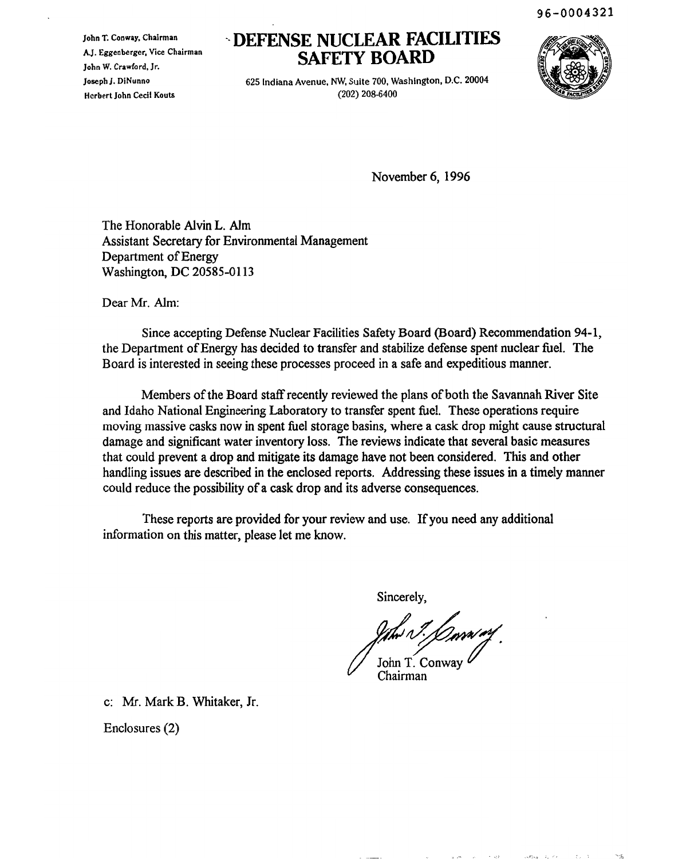96-0004321

John T. Conway. Chairman A.J. Eggenberger, Vice Chairman John W. Crawford. Jr. JosephJ. DINunno Herbert John Cecil Kouts

# '. **DEFENSE NUCLEAR FACILITIES SAFETY BOARD**

625 Indiana Avenue, NW, Suite 700, Washington. D.C. 20004 (202) 208-6400



November 6, 1996

The Honorable Alvin L. Alm Assistant Secretary for Environmental Management Department of Energy Washington, DC 20585-0113

Dear Mr. Alm:

Since accepting Defense Nuclear Facilities Safety Board (Board) Recommendation 94-1, the Department of Energy has decided to transfer and stabilize defense spent nuclear fuel. The Board is interested in seeing these processes proceed in a safe and expeditious manner.

Members of the Board staff recently reviewed the plans of both the Savannah River Site and Idaho National Engineering Laboratory to transfer spent fuel. These operations require moving massive casks now in spent fuel storage basins, where a cask drop might cause structural damage and significant water inventory loss. The reviews indicate that several basic measures that could prevent a drop and mitigate its damage have not been considered. This and other handling issues are described in the enclosed reports. Addressing these issues in a timely manner could reduce the possibility of a cask drop and its adverse consequences.

These reports are provided for your review and use. If you need any additional information on this matter, please let me know.

Sincerely,

International Andrew Chairman Chairman Chairman Chairman Chairman Chairman Chairman Chairman Chairman Chairman<br>Chairman

 $1 - 122$ 

CONTRACTOR CARD

c: Mr. Mark B. Whitaker, Jr.

Enclosures (2)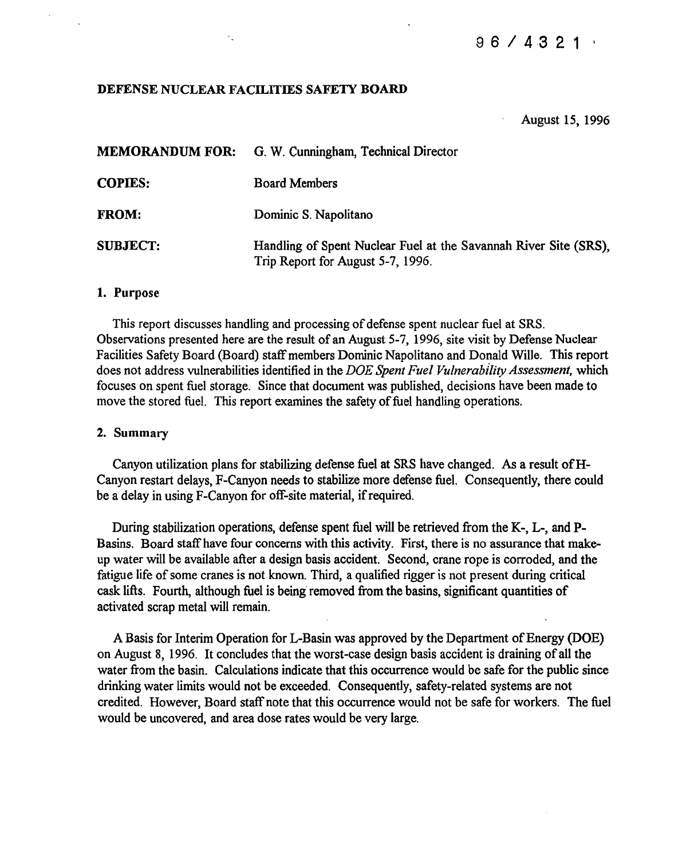# 9 6 / 4,3 2 1

## DEFENSE NUCLEAR FACILITIES SAFETY BOARD

#### August 15, 1996

| <b>MEMORANDUM FOR:</b> | G. W. Cunningham, Technical Director                                                                  |
|------------------------|-------------------------------------------------------------------------------------------------------|
| <b>COPIES:</b>         | <b>Board Members</b>                                                                                  |
| <b>FROM:</b>           | Dominic S. Napolitano                                                                                 |
| <b>SUBJECT:</b>        | Handling of Spent Nuclear Fuel at the Savannah River Site (SRS),<br>Trip Report for August 5-7, 1996. |

#### 1. Purpose

This report discusses handling and processing of defense spent nuclear fuel at SRS. Observations presented here are the result of an August 5-7, 1996, site visit by Defense Nuclear Facilities Safety Board (Board) staffmembers Dominic Napolitano and Donald Wille. This report does not address vulnerabilities identified in the *DOE Spent Fuel Vulnerability Assessment,* which focuses on spent fuel storage. Since that document was published, decisions have been made to move the stored fuel. This report examines the safety of fuel handling operations.

#### 2. Summary

Canyon utilization plans for stabilizing defense fuel at SRS have changed. As a result ofH-Canyon restart delays, F-Canyon needs to stabilize more defense fuel. Consequently, there could be a delay in using F-Canyon for off-site material, if required.

During stabilization operations, defense spent fuel will be retrieved from the K-, L-, and P-Basins. Board staff have four concerns with this activity. First, there is no assurance that makeup water will be available after a design basis accident. Second, crane rope is corroded, and the fatigue life of some cranes is not known. Third, a qualified rigger is not present during critical cask lifts. Fourth, although fuel is being removed from the basins, significant quantities of activated scrap metal will remain.

A Basis for Interim Operation for L-Basin was approved by the Department of Energy (DOE) on August 8, 1996. It concludes that the worst-case design basis accident is draining ofall the water from the basin. Calculations indicate that this occurrence would be safe for the public since drinking water limits would not be exceeded. Consequently, safety-related systems are not credited. However, Board staffnote that this occurrence would not be safe for workers. The fuel would be uncovered, and area dose rates would be very large.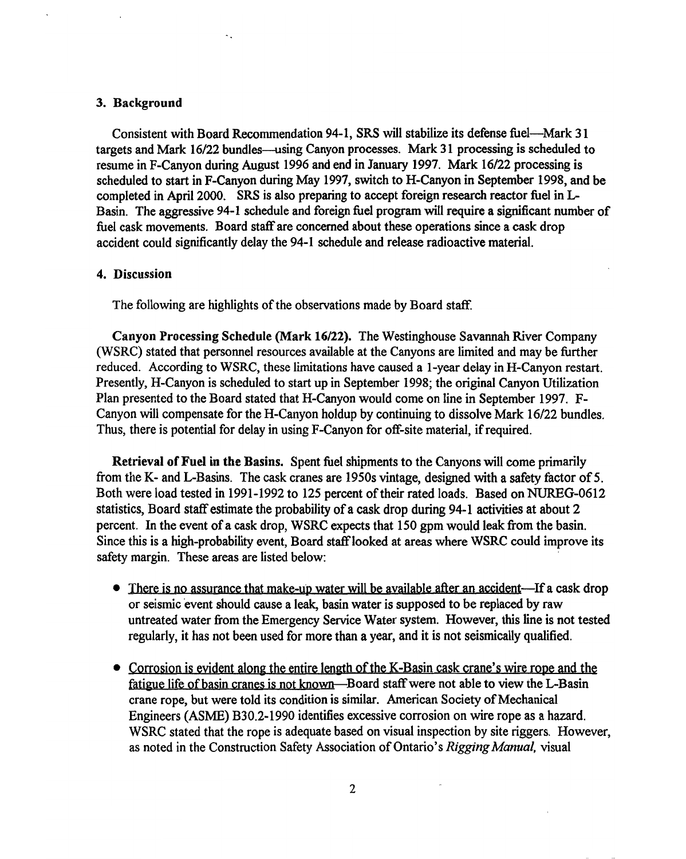## 3. Background

Consistent with Board Recommendation 94-1, SRS will stabilize its defense fuel-Mark 31 targets and Mark 16/22 bundles-using Canyon processes. Mark 31 processing is scheduled to resume in F-Canyon during August 1996 and end in January 1997. Mark 16/22 processing is scheduled to start in F-Canyon during May 1997, switch to H-Canyon in September 1998, and be completed in April 2000. SRS is also preparing to accept foreign research reactor fuel in L-Basin. The aggressive 94-1 schedule and foreign fuel program will require a significant number of fuel cask movements. Board staff are concerned about these operations since a cask drop accident could significantly delay the 94-1 schedule and release radioactive material.

## 4. Discussion

The following are highlights of the observations made by Board staff.

Canyon Processing Schedule (Mark 16/22). The Westinghouse Savannah River Company (WSRC) stated that personnel resources available at the Canyons are limited and may be further reduced. According to WSRC, these limitations have caused a I-year delay in H-Canyon restart. Presently, H-Canyon is scheduled to start up in September 1998; the original Canyon Utilization Plan presented to the Board stated that H-Canyon would come on line in September 1997. F-Canyon will compensate for the H-Canyon holdup by continuing to dissolve Mark 16/22 bundles. Thus, there is potential for delay in using F-Canyon for off-site material, if required.

Retrieval of Fuel in the Basins. Spent fuel shipments to the Canyons will come primarily from the K- and L-Basins. The cask cranes are 1950s vintage, designed with a safety factor of 5. Both were load tested in 1991-1992 to 125 percent of their rated loads. Based on NUREG-0612 statistics, Board staff estimate the probability of a cask drop during 94-1 activities at about 2 percent. In the event of a cask drop, WSRC expects that 150 gpm would leak from the basin. Since this is a high-probability event. Board staff looked at areas where WSRC could improve its safety margin. These areas are listed below:

- There is no assurance that make-up water will be available after an accident—If a cask drop or seismic 'event should cause a leak, basin water is supposed to be replaced by raw untreated water from the Emergency Service Water system. However, this line is not tested regularly, it has not been used for more than a year, and it is not seismically qualified.
- Corrosion is evident along the entire length of the K-Basin cask crane's wire rope and the fatigue life of basin cranes is not known—Board staff were not able to view the L-Basin crane rope, but were told its condition is similar. American Society of Mechanical Engineers (ASME) B30.2-1990 identifies excessive corrosion on wire rope as a hazard. WSRC stated that the rope is adequate based on visual inspection by site riggers. However, as noted in the Construction Safety Association of Ontario's *Rigging Manual*, visual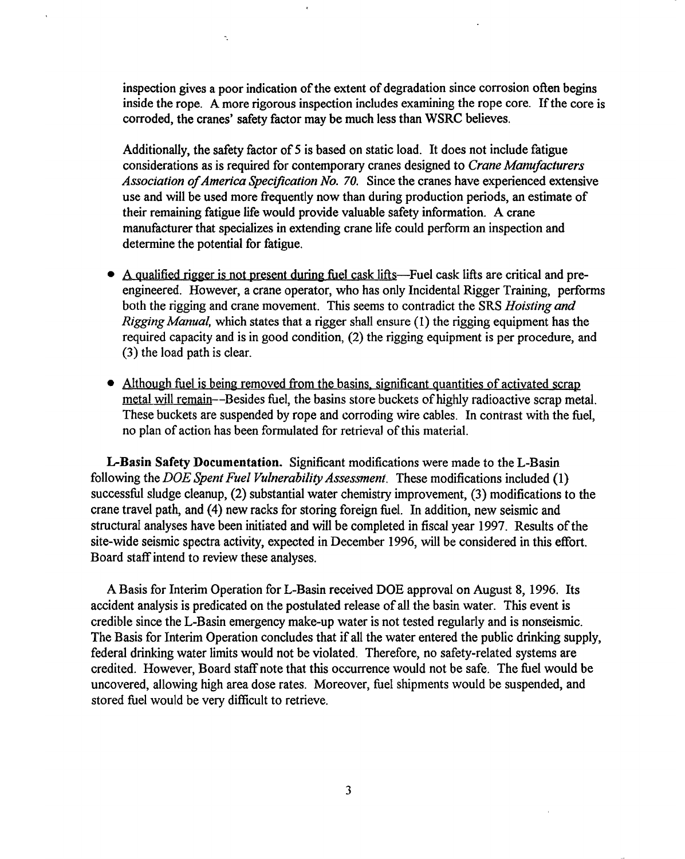inspection gives a poor indication of the extent of degradation since corrosion often begins inside the rope. A more rigorous inspection includes examining the rope core. If the core is corroded, the cranes' safety factor may be much less than WSRC believes.

Ä,

Additionally, the safety factor of 5 is based on static load. It does not include fatigue considerations as is required for contemporary cranes designed to *Crane Manufacturers Association ofAmerica Specification No. 70.* Since the cranes have experienced extensive use and will be used more frequently now than during production periods, an estimate of their remaining fatigue life would provide valuable safety information. A crane manufacturer that specializes in extending crane life could perform an inspection and determine the potential for fatigue.

- A qualified rigger is not present during fuel cask lifts—Fuel cask lifts are critical and preengineered. However, a crane operator, who has only Incidental Rigger Training, performs both the rigging and crane movement. This seems to contradict the SRS *Hoisting and Rigging Manual,* which states that a rigger shall ensure (1) the rigging equipment has the required capacity and is in good condition, (2) the rigging equipment is per procedure, and (3) the load path is clear.
- Although fuel is being removed from the basins, significant quantities of activated scrap metal will remain--Besides fuel, the basins store buckets of highly radioactive scrap metal. These buckets are suspended by rope and corroding wire cables. In contrast with the fuel, no plan of action has been formulated for retrieval of this material.

L-Basin Safety Documentation. Significant modifications were made to the L-Basin following the *DOE Spent Fuel Vulnerability Assessment.* These modifications included (1) successful sludge cleanup, (2) substantial water chemistry improvement, (3) modifications to the crane travel path, and (4) new racks for storing foreign fuel. In addition, new seismic and structural analyses have been initiated and will be completed in fiscal year 1997. Results of the site-wide seismic spectra activity, expected in December 1996, will be considered in this effort. Board staffintend to review these analyses.

A Basis for Interim Operation for L-Basin received DOE approval on August 8, 1996. Its accident analysis is predicated on the postulated release of all the basin water. This event is credible since the L-Basin emergency make-up water is not tested regularly and is nonseismic. The Basis for Interim Operation concludes that if all the water entered the public drinking supply, federal drinking water limits would not be violated. Therefore, no safety-related systems are credited. However, Board staff note that this occurrence would not be safe. The fuel would be uncovered, allowing high area dose rates. Moreover, fuel shipments would be suspended, and stored fuel would be very difficult to retrieve.